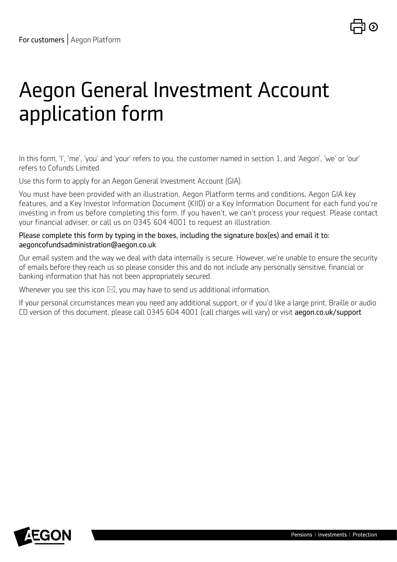# Aegon General Investment Account application form

In this form, 'I', 'me', 'you' and 'your' refers to you, the customer named in section 1, and 'Aegon', 'we' or 'our' refers to Cofunds Limited.

Use this form to apply for an Aegon General Investment Account (GIA).

You must have been provided with an illustration, Aegon Platform terms and conditions, Aegon GIA key features, and a Key Investor Information Document (KIID) or a Key Information Document for each fund you're investing in from us before completing this form. If you haven't, we can't process your request. Please contact your financial adviser, or call us on 0345 604 4001 to request an illustration.

### Please complete this form by typing in the boxes, including the signature box(es) and email it to: aegoncofundsadministration@aegon.co.uk

Our email system and the way we deal with data internally is secure. However, we're unable to ensure the security of emails before they reach us so please consider this and do not include any personally sensitive, financial or banking information that has not been appropriately secured.

Whenever you see this icon  $\boxtimes$ , you may have to send us additional information.

If your personal circumstances mean you need any additional support, or if you'd like a large print, Braille or audio CD version of this document, please call 0345 604 4001 (call charges will vary) or visit [aegon.co.uk/support](http://aegon.co.uk/support)

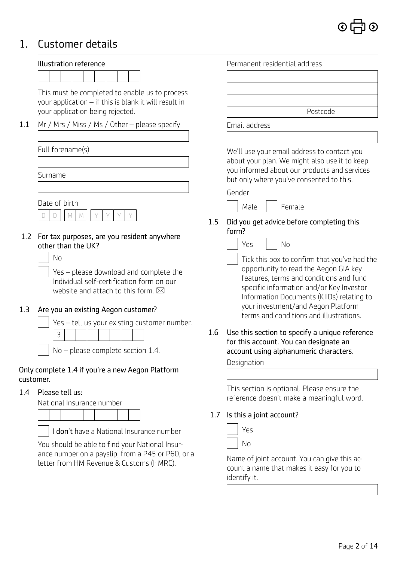## 1. Customer details

|               | Illustration reference                                                                                                           |     | Permanent residential address                                                                                                                                          |
|---------------|----------------------------------------------------------------------------------------------------------------------------------|-----|------------------------------------------------------------------------------------------------------------------------------------------------------------------------|
|               |                                                                                                                                  |     |                                                                                                                                                                        |
|               | This must be completed to enable us to process<br>your application - if this is blank it will result in                          |     |                                                                                                                                                                        |
|               | your application being rejected.                                                                                                 |     | Postcode                                                                                                                                                               |
| 1.1           | Mr / Mrs / Miss / Ms / Other - please specify                                                                                    |     | Email address                                                                                                                                                          |
|               |                                                                                                                                  |     |                                                                                                                                                                        |
|               | Full forename(s)                                                                                                                 |     | We'll use your email address to contact you                                                                                                                            |
|               | Surname                                                                                                                          |     | about your plan. We might also use it to keep<br>you informed about our products and services<br>but only where you've consented to this.                              |
|               |                                                                                                                                  |     | Gender                                                                                                                                                                 |
|               | Date of birth                                                                                                                    |     | Female<br>Male                                                                                                                                                         |
|               | M<br>$\mathbb{M}$<br>D<br>D                                                                                                      | 1.5 | Did you get advice before completing this                                                                                                                              |
|               | 1.2 For tax purposes, are you resident anywhere<br>other than the UK?<br>No<br>Yes - please download and complete the            |     | form?<br>No<br>Yes<br>Tick this box to confirm that you've had the<br>opportunity to read the Aegon GIA key                                                            |
| 1.3           | Individual self-certification form on our<br>website and attach to this form. $\boxtimes$<br>Are you an existing Aegon customer? |     | features, terms and conditions and fund<br>specific information and/or Key Investor<br>Information Documents (KIIDs) relating to<br>your investment/and Aegon Platform |
|               | Yes - tell us your existing customer number.                                                                                     |     | terms and conditions and illustrations.                                                                                                                                |
|               | $\mathcal{E}$                                                                                                                    | 1.6 | Use this section to specify a unique reference                                                                                                                         |
|               | $No$ – please complete section 1.4.                                                                                              |     | for this account. You can designate an<br>account using alphanumeric characters.                                                                                       |
|               |                                                                                                                                  |     | Designation                                                                                                                                                            |
| customer.     | Only complete 1.4 if you're a new Aegon Platform                                                                                 |     |                                                                                                                                                                        |
| $1.4^{\circ}$ | Please tell us:                                                                                                                  |     | This section is optional. Please ensure the                                                                                                                            |
|               | National Insurance number                                                                                                        |     | reference doesn't make a meaningful word.                                                                                                                              |
|               |                                                                                                                                  | 1.7 | Is this a joint account?                                                                                                                                               |
|               | don't have a National Insurance number                                                                                           |     | Yes                                                                                                                                                                    |
|               | You should be able to find your National Insur-                                                                                  |     | No                                                                                                                                                                     |
|               | ance number on a payslip, from a P45 or P60, or a<br>letter from HM Revenue & Customs (HMRC).                                    |     | Name of joint account. You can give this ac-                                                                                                                           |

count a name that makes it easy for you to identify it.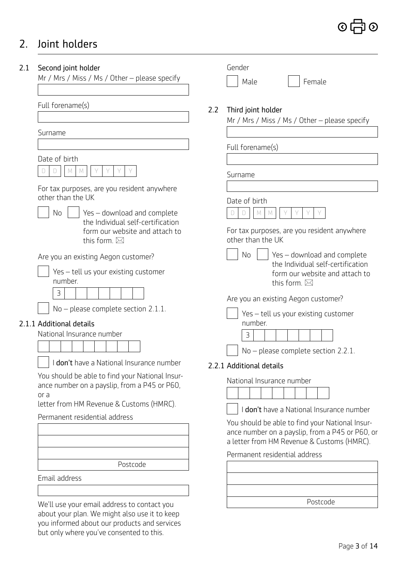## 2. Joint holders

## 2.1 Second joint holder

Mr / Mrs / Miss / Ms / Other – please specify

Full forename(s)

Surname

Date of birth



 For tax purposes, are you resident anywhere other than the UK

No  $\parallel$  Yes – download and complete the Individual self-certification form our website and attach to this form.  $\boxtimes$ 

Are you an existing Aegon customer?

| $\vert$ Yes – tell us your existing customer |
|----------------------------------------------|
| number.                                      |



No – please complete section 2.1.1.

## 2.1.1 Additional details

National Insurance number

I don't have a National Insurance number

You should be able to find your National Insurance number on a payslip, from a P45 or P60, or a

letter from HM Revenue & Customs (HMRC).

Permanent residential address

Postcode

Email address

We'll use your email address to contact you about your plan. We might also use it to keep you informed about our products and services but only where you've consented to this.

|     | Gender                                                                                                                                           |
|-----|--------------------------------------------------------------------------------------------------------------------------------------------------|
|     | Female<br>Male                                                                                                                                   |
|     |                                                                                                                                                  |
| 2.2 | Third joint holder<br>Mr / Mrs / Miss / Ms / Other - please specify                                                                              |
|     |                                                                                                                                                  |
|     | Full forename(s)                                                                                                                                 |
|     |                                                                                                                                                  |
|     | Surname                                                                                                                                          |
|     | Date of birth                                                                                                                                    |
|     | M                                                                                                                                                |
|     | For tax purposes, are you resident anywhere<br>other than the UK                                                                                 |
|     | No<br>Yes - download and complete<br>the Individual self-certification<br>form our website and attach to<br>this form. $\boxtimes$               |
|     | Are you an existing Aegon customer?                                                                                                              |
|     | Yes - tell us your existing customer<br>number.<br>3                                                                                             |
|     |                                                                                                                                                  |
|     | $No$ – please complete section 2.2.1.                                                                                                            |
|     | 2.2.1 Additional details                                                                                                                         |
|     | National Insurance number                                                                                                                        |
|     |                                                                                                                                                  |
|     | I don't have a National Insurance number                                                                                                         |
|     | You should be able to find your National Insur-<br>ance number on a payslip, from a P45 or P60, or<br>a letter from HM Revenue & Customs (HMRC). |
|     | Permanent residential address                                                                                                                    |
|     |                                                                                                                                                  |
|     |                                                                                                                                                  |
|     |                                                                                                                                                  |

Postcode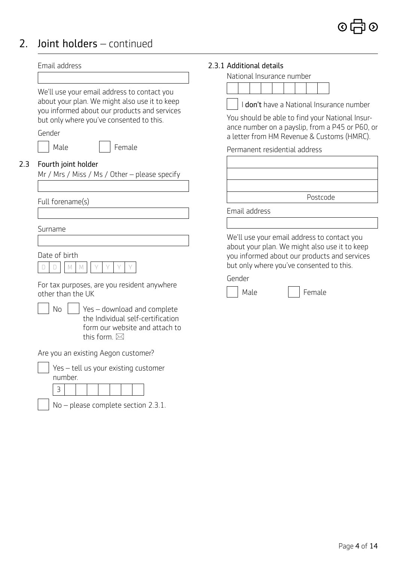## 2. Joint holders – continued

|     | Email address                                                                                                                      | 2.3.1 Additional details                                                                                                                                                                 |
|-----|------------------------------------------------------------------------------------------------------------------------------------|------------------------------------------------------------------------------------------------------------------------------------------------------------------------------------------|
|     |                                                                                                                                    | National Insurance number                                                                                                                                                                |
|     | We'll use your email address to contact you<br>about your plan. We might also use it to keep                                       | I don't have a National Insurance number                                                                                                                                                 |
|     | you informed about our products and services<br>but only where you've consented to this.<br>Gender                                 | You should be able to find your National Insur-<br>ance number on a payslip, from a P45 or P60, or<br>a letter from HM Revenue & Customs (HMRC).                                         |
|     | Male<br>Female                                                                                                                     | Permanent residential address                                                                                                                                                            |
| 2.3 | Fourth joint holder<br>Mr / Mrs / Miss / Ms / Other - please specify                                                               |                                                                                                                                                                                          |
|     | Full forename(s)                                                                                                                   | Postcode                                                                                                                                                                                 |
|     |                                                                                                                                    | Email address                                                                                                                                                                            |
|     | Surname                                                                                                                            |                                                                                                                                                                                          |
|     | Date of birth<br>$\mathbb M$<br>D<br>M<br>D                                                                                        | We'll use your email address to contact you<br>about your plan. We might also use it to keep<br>you informed about our products and services<br>but only where you've consented to this. |
|     | For tax purposes, are you resident anywhere<br>other than the UK                                                                   | Gender<br>Male<br>Female                                                                                                                                                                 |
|     | Yes - download and complete<br>No<br>the Individual self-certification<br>form our website and attach to<br>this form. $\boxtimes$ |                                                                                                                                                                                          |
|     | Are you an existing Aegon customer?                                                                                                |                                                                                                                                                                                          |
|     | Yes - tell us your existing customer<br>number.                                                                                    |                                                                                                                                                                                          |
|     | 3                                                                                                                                  |                                                                                                                                                                                          |
|     | $No$ – please complete section 2.3.1.                                                                                              |                                                                                                                                                                                          |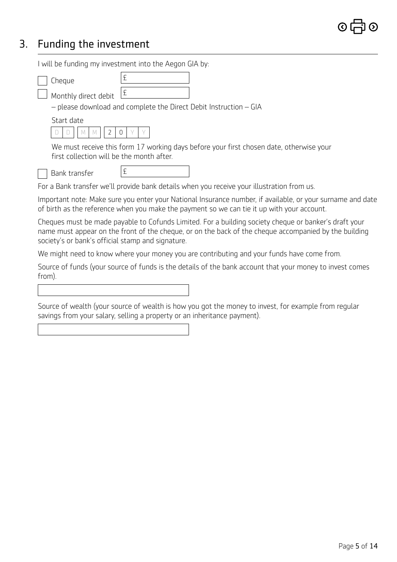## 3. Funding the investment

I will be funding my investment into the Aegon GIA by:

| Cheque                                                                                     | £ |                                                                                                                                                                                                                |  |  |
|--------------------------------------------------------------------------------------------|---|----------------------------------------------------------------------------------------------------------------------------------------------------------------------------------------------------------------|--|--|
| Monthly direct debit                                                                       | £ |                                                                                                                                                                                                                |  |  |
|                                                                                            |   | - please download and complete the Direct Debit Instruction - GIA                                                                                                                                              |  |  |
| Start date                                                                                 |   |                                                                                                                                                                                                                |  |  |
| 2<br>M                                                                                     | 0 |                                                                                                                                                                                                                |  |  |
| first collection will be the month after.                                                  |   | We must receive this form 17 working days before your first chosen date, otherwise your                                                                                                                        |  |  |
| Bank transfer                                                                              | £ |                                                                                                                                                                                                                |  |  |
|                                                                                            |   | For a Bank transfer we'll provide bank details when you receive your illustration from us.                                                                                                                     |  |  |
|                                                                                            |   | Important note: Make sure you enter your National Insurance number, if available, or your surname and date<br>of birth as the reference when you make the payment so we can tie it up with your account.       |  |  |
| society's or bank's official stamp and signature.                                          |   | Cheques must be made payable to Cofunds Limited. For a building society cheque or banker's draft your<br>name must appear on the front of the cheque, or on the back of the cheque accompanied by the building |  |  |
| We might need to know where your money you are contributing and your funds have come from. |   |                                                                                                                                                                                                                |  |  |
| from).                                                                                     |   | Source of funds (your source of funds is the details of the bank account that your money to invest comes                                                                                                       |  |  |
|                                                                                            |   |                                                                                                                                                                                                                |  |  |
|                                                                                            |   |                                                                                                                                                                                                                |  |  |

Source of wealth (your source of wealth is how you got the money to invest, for example from regular savings from your salary, selling a property or an inheritance payment).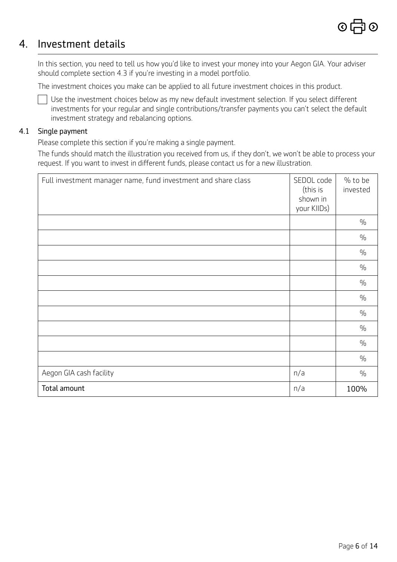## 4. Investment details

In this section, you need to tell us how you'd like to invest your money into your Aegon GIA. Your adviser should complete section 4.3 if you're investing in a model portfolio.

The investment choices you make can be applied to all future investment choices in this product.

 $\Box$  Use the investment choices below as my new default investment selection. If you select different investments for your regular and single contributions/transfer payments you can't select the default investment strategy and rebalancing options.

### 4.1 Single payment

Please complete this section if you're making a single payment.

 The funds should match the illustration you received from us, if they don't, we won't be able to process your request. If you want to invest in different funds, please contact us for a new illustration.

| Full investment manager name, fund investment and share class | SEDOL code<br>(this is<br>shown in<br>your KIIDs) | % to be<br>invested |
|---------------------------------------------------------------|---------------------------------------------------|---------------------|
|                                                               |                                                   | $\frac{0}{0}$       |
|                                                               |                                                   | $\frac{0}{0}$       |
|                                                               |                                                   | $\frac{0}{0}$       |
|                                                               |                                                   | $\frac{0}{0}$       |
|                                                               |                                                   | $\frac{0}{0}$       |
|                                                               |                                                   | $\frac{0}{0}$       |
|                                                               |                                                   | $\frac{0}{0}$       |
|                                                               |                                                   | $\frac{0}{0}$       |
|                                                               |                                                   | $\frac{0}{0}$       |
|                                                               |                                                   | $\frac{0}{0}$       |
| Aegon GIA cash facility                                       | n/a                                               | $\frac{0}{0}$       |
| Total amount                                                  | n/a                                               | 100%                |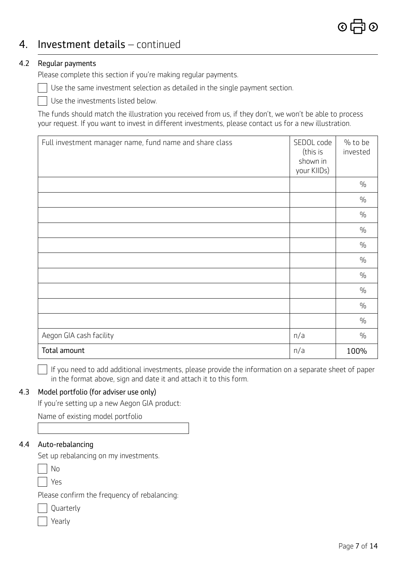## 4. Investment details – continued

### 4.2 Regular payments

Please complete this section if you're making regular payments.

Use the same investment selection as detailed in the single payment section.

Use the investments listed below.

The funds should match the illustration you received from us, if they don't, we won't be able to process your request. If you want to invest in different investments, please contact us for a new illustration.

| Full investment manager name, fund name and share class | SEDOL code<br>(this is<br>shown in<br>your KIIDs) | % to be<br>invested |
|---------------------------------------------------------|---------------------------------------------------|---------------------|
|                                                         |                                                   | $\frac{0}{0}$       |
|                                                         |                                                   | $\frac{0}{0}$       |
|                                                         |                                                   | $\frac{0}{0}$       |
|                                                         |                                                   | $\frac{0}{0}$       |
|                                                         |                                                   | $\frac{0}{0}$       |
|                                                         |                                                   | $\frac{0}{0}$       |
|                                                         |                                                   | $\frac{0}{0}$       |
|                                                         |                                                   | $\frac{0}{0}$       |
|                                                         |                                                   | $\frac{0}{0}$       |
|                                                         |                                                   | $\frac{0}{0}$       |
| Aegon GIA cash facility                                 | n/a                                               | $\frac{0}{0}$       |
| Total amount                                            | n/a                                               | 100%                |

 $\Box$  If you need to add additional investments, please provide the information on a separate sheet of paper in the format above, sign and date it and attach it to this form.

### 4.3 Model portfolio (for adviser use only)

If you're setting up a new Aegon GIA product:

Name of existing model portfolio

### 4.4 Auto-rebalancing

Set up rebalancing on my investments.

| M.<br>۰. |
|----------|
|----------|

Yes

Please confirm the frequency of rebalancing:

|  | Quarterly |
|--|-----------|
|--|-----------|

| ari v |  |
|-------|--|
|-------|--|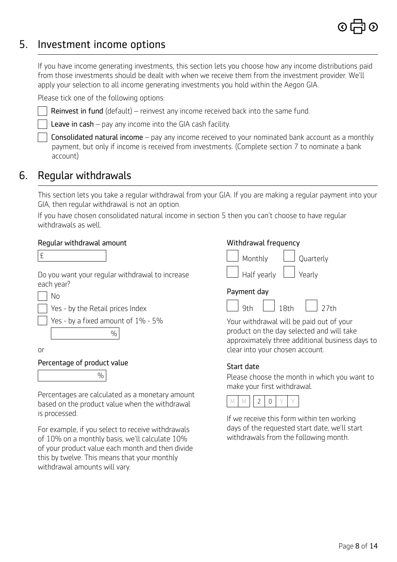## 5. Investment income options

If you have income generating investments, this section lets you choose how any income distributions paid from those investments should be dealt with when we receive them from the investment provider. We'll apply your selection to all income generating investments you hold within the Aegon GIA.

Please tick one of the following options:

Reinvest in fund (default) – reinvest any income received back into the same fund.

Leave in cash – pay any income into the GIA cash facility.

 Consolidated natural income – pay any income received to your nominated bank account as a monthly payment, but only if income is received from investments. (Complete section 7 to nominate a bank account)

## 6. Regular withdrawals

This section lets you take a regular withdrawal from your GIA. If you are making a regular payment into your GIA, then regular withdrawal is not an option.

 If you have chosen consolidated natural income in section 5 then you can't choose to have regular withdrawals as well.

### Regular withdrawal amount

| . .<br>۰<br>-<br>. . |
|----------------------|
|                      |

Do you want your regular withdrawal to increase each year?



Yes - by the Retail prices Index

Yes - by a fixed amount of 1% - 5%



or

Percentage of product value

 $\frac{0}{0}$ 

Percentages are calculated as a monetary amount based on the product value when the withdrawal is processed.

For example, if you select to receive withdrawals of 10% on a monthly basis, we'll calculate 10% of your product value each month and then divide this by twelve. This means that your monthly withdrawal amounts will vary.

## Withdrawal frequency



### Payment day



Your withdrawal will be paid out of your product on the day selected and will take approximately three additional business days to clear into your chosen account.

Yearly

## Start date

Please choose the month in which you want to make your first withdrawal.



If we receive this form within ten working days of the requested start date, we'll start withdrawals from the following month.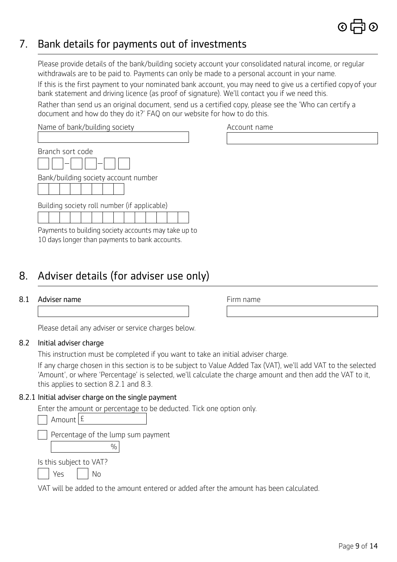## 7. Bank details for payments out of investments

Please provide details of the bank/building society account your consolidated natural income, or regular withdrawals are to be paid to. Payments can only be made to a personal account in your name.

 If this is the first payment to your nominated bank account, you may need to give us a certified copy of your bank statement and driving licence (as proof of signature). We'll contact you if we need this.

Rather than send us an original document, send us a certified copy, please see the 'Who can certify a document and how do they do it?' FAQ on our website for how to do this.

| Name of bank/building society        |
|--------------------------------------|
|                                      |
| Branch sort code                     |
| Bank/building society account number |

Building society roll number (if applicable)

Payments to building society accounts may take up to 10 days longer than payments to bank accounts.

## 8. Adviser details (for adviser use only)

## 8.1 Adviser name

|  |  |  | Please detail any adviser or service charges below. |  |
|--|--|--|-----------------------------------------------------|--|
|  |  |  |                                                     |  |
|  |  |  |                                                     |  |

## 8.2 Initial adviser charge

This instruction must be completed if you want to take an initial adviser charge.

If any charge chosen in this section is to be subject to Value Added Tax (VAT), we'll add VAT to the selected 'Amount', or where 'Percentage' is selected, we'll calculate the charge amount and then add the VAT to it, this applies to section 8.2.1 and 8.3.

## 8.2.1 Initial adviser charge on the single payment

Enter the amount or percentage to be deducted. Tick one option only.

| Amount $\mathsf{E}$     |                                    |  |
|-------------------------|------------------------------------|--|
|                         | Percentage of the lump sum payment |  |
|                         |                                    |  |
| Is this subject to VAT? |                                    |  |
|                         |                                    |  |

VAT will be added to the amount entered or added after the amount has been calculated.

Account name

Firm name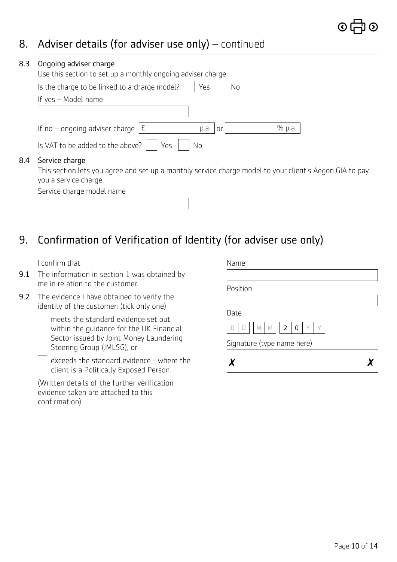## 8. Adviser details (for adviser use only) – continued

| 8.3 | Ongoing adviser charge<br>Use this section to set up a monthly ongoing adviser charge.                                    |
|-----|---------------------------------------------------------------------------------------------------------------------------|
|     | Is the charge to be linked to a charge model?  <br>Yes<br>No                                                              |
|     | If yes - Model name                                                                                                       |
|     |                                                                                                                           |
|     | If no – ongoing adviser charge $\vert$ £<br>% p.a.<br>p.a.<br>0r                                                          |
|     | Is VAT to be added to the above?<br>Yes<br><b>No</b>                                                                      |
| 8.4 | Service charge<br>This section lets you agree and set up a monthly service charge model to your client's Aegon GIA to pay |

you a service charge.

| Service charge model name |  |
|---------------------------|--|
|                           |  |

## 9. Confirmation of Verification of Identity (for adviser use only)

I confirm that:

- 9.1 The information in section 1 was obtained by me in relation to the customer.
- 9.2 The evidence I have obtained to verify the identity of the customer: (tick only one)

| $\Box$ meets the standard evidence set out |
|--------------------------------------------|
| within the quidance for the UK Financial   |
| Sector issued by Joint Money Laundering    |
| Steering Group (JMLSG); or                 |

exceeds the standard evidence - where the client is a Politically Exposed Person.

(Written details of the further verification evidence taken are attached to this confirmation).

| Name                            |  |
|---------------------------------|--|
|                                 |  |
| Position                        |  |
|                                 |  |
| Date                            |  |
| $2^{\circ}$<br>M<br>M<br>0<br>n |  |
| Signature (type name here)      |  |
|                                 |  |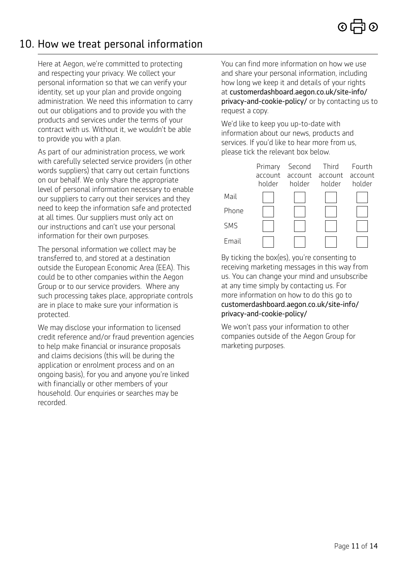## 10. How we treat personal information

Here at Aegon, we're committed to protecting and respecting your privacy. We collect your personal information so that we can verify your identity, set up your plan and provide ongoing administration. We need this information to carry out our obligations and to provide you with the products and services under the terms of your contract with us. Without it, we wouldn't be able to provide you with a plan.

As part of our administration process, we work with carefully selected service providers (in other words suppliers) that carry out certain functions on our behalf. We only share the appropriate level of personal information necessary to enable our suppliers to carry out their services and they need to keep the information safe and protected at all times. Our suppliers must only act on our instructions and can't use your personal information for their own purposes.

The personal information we collect may be transferred to, and stored at a destination outside the European Economic Area (EEA). This could be to other companies within the Aegon Group or to our service providers. Where any such processing takes place, appropriate controls are in place to make sure your information is protected.

We may disclose your information to licensed credit reference and/or fraud prevention agencies to help make financial or insurance proposals and claims decisions (this will be during the application or enrolment process and on an ongoing basis), for you and anyone you're linked with financially or other members of your household. Our enquiries or searches may be recorded.

You can find more information on how we use and share your personal information, including how long we keep it and details of your rights at [customerdashboard.aegon.co.uk/site-info/](https://customerdashboard.aegon.co.uk/site-info/privacy-and-cookie-policy/) [privacy-and-cookie-policy/](https://customerdashboard.aegon.co.uk/site-info/privacy-and-cookie-policy/) or by contacting us to request a copy.

We'd like to keep you up-to-date with information about our news, products and services. If you'd like to hear more from us, please tick the relevant box below.

|            | Primary<br>holder | Second<br>account account account account<br>holder | Third<br>holder | Fourth<br>holder |
|------------|-------------------|-----------------------------------------------------|-----------------|------------------|
| Mail       |                   |                                                     |                 |                  |
| Phone      |                   |                                                     |                 |                  |
| <b>SMS</b> |                   |                                                     |                 |                  |
| Email      |                   |                                                     |                 |                  |

By ticking the box(es), you're consenting to receiving marketing messages in this way from us. You can change your mind and unsubscribe at any time simply by contacting us. For more information on how to do this go to [customerdashboard.aegon.co.uk/site-info/](https://customerdashboard.aegon.co.uk/site-info/privacy-and-cookie-policy/) [privacy-and-cookie-policy/](https://customerdashboard.aegon.co.uk/site-info/privacy-and-cookie-policy/)

We won't pass your information to other companies outside of the Aegon Group for marketing purposes.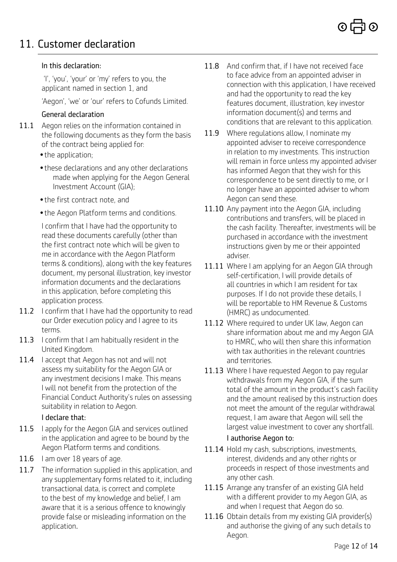## 11. Customer declaration

### In this declaration:

 'I', 'you', 'your' or 'my' refers to you, the applicant named in section 1, and

'Aegon', 'we' or 'our' refers to Cofunds Limited.

## General declaration

- 11.1 Aegon relies on the information contained in the following documents as they form the basis of the contract being applied for:
	- the application;
	- •these declarations and any other declarations made when applying for the Aegon General Investment Account (GIA);
	- •the first contract note, and
	- •the Aegon Platform terms and conditions.

I confirm that I have had the opportunity to read these documents carefully (other than the first contract note which will be given to me in accordance with the Aegon Platform terms & conditions), along with the key features document, my personal illustration, key investor information documents and the declarations in this application, before completing this application process.

- 11.2 I confirm that I have had the opportunity to read our Order execution policy and I agree to its terms.
- 11.3 I confirm that I am habitually resident in the United Kingdom.
- 11.4 I accept that Aegon has not and will not assess my suitability for the Aegon GIA or any investment decisions I make. This means I will not benefit from the protection of the Financial Conduct Authority's rules on assessing suitability in relation to Aegon.

### I declare that:

- 11.5 I apply for the Aegon GIA and services outlined in the application and agree to be bound by the Aegon Platform terms and conditions.
- 11.6 I am over 18 years of age.
- 11.7 The information supplied in this application, and any supplementary forms related to it, including transactional data, is correct and complete to the best of my knowledge and belief, I am aware that it is a serious offence to knowingly provide false or misleading information on the application.
- 11.8 And confirm that, if I have not received face to face advice from an appointed adviser in connection with this application, I have received and had the opportunity to read the key features document, illustration, key investor information document(s) and terms and conditions that are relevant to this application.
- 11.9 Where regulations allow, I nominate my appointed adviser to receive correspondence in relation to my investments. This instruction will remain in force unless my appointed adviser has informed Aegon that they wish for this correspondence to be sent directly to me, or I no longer have an appointed adviser to whom Aegon can send these.
- 11.10 Any payment into the Aegon GIA, including contributions and transfers, will be placed in the cash facility. Thereafter, investments will be purchased in accordance with the investment instructions given by me or their appointed adviser.
- 11.11 Where I am applying for an Aegon GIA through self-certification, I will provide details of all countries in which I am resident for tax purposes. If I do not provide these details, I will be reportable to HM Revenue & Customs (HMRC) as undocumented.
- 11.12 Where required to under UK law, Aegon can share information about me and my Aegon GIA to HMRC, who will then share this information with tax authorities in the relevant countries and territories.
- 11.13 Where I have requested Aegon to pay regular withdrawals from my Aegon GIA, if the sum total of the amount in the product's cash facility and the amount realised by this instruction does not meet the amount of the regular withdrawal request, I am aware that Aegon will sell the largest value investment to cover any shortfall.

## I authorise Aegon to:

- 11.14 Hold my cash, subscriptions, investments, interest, dividends and any other rights or proceeds in respect of those investments and any other cash.
- 11.15 Arrange any transfer of an existing GIA held with a different provider to my Aegon GIA, as and when I request that Aegon do so.
- 11.16 Obtain details from my existing GIA provider(s) and authorise the giving of any such details to Aegon.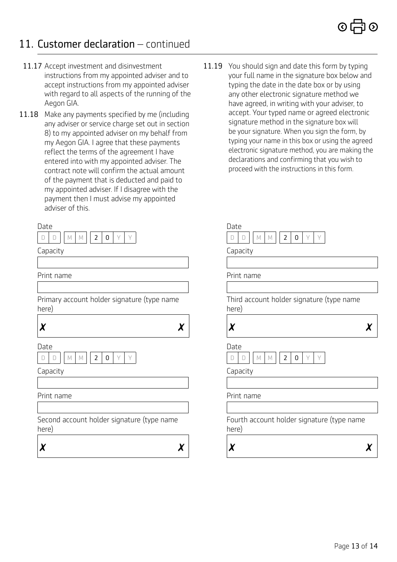## 11. Customer declaration – continued

- 11.17 Accept investment and disinvestment instructions from my appointed adviser and to accept instructions from my appointed adviser with regard to all aspects of the running of the Aegon GIA.
- 11.18 Make any payments specified by me (including any adviser or service charge set out in section 8) to my appointed adviser on my behalf from my Aegon GIA. I agree that these payments reflect the terms of the agreement I have entered into with my appointed adviser. The contract note will confirm the actual amount of the payment that is deducted and paid to my appointed adviser. If I disagree with the payment then I must advise my appointed adviser of this.

| ш        |  |  | - 2 | $\Box$ |  |
|----------|--|--|-----|--------|--|
| Capacity |  |  |     |        |  |

Print name

Primary account holder signature (type name here)



 $\boldsymbol{x}$   $\boldsymbol{x}$ 

11.19 You should sign and date this form by typing your full name in the signature box below and typing the date in the date box or by using any other electronic signature method we have agreed, in writing with your adviser, to accept. Your typed name or agreed electronic signature method in the signature box will be your signature. When you sign the form, by typing your name in this box or using the agreed electronic signature method, you are making the declarations and confirming that you wish to proceed with the instructions in this form.

| Date                                                |
|-----------------------------------------------------|
| M<br>2<br>0<br>М                                    |
| Capacity                                            |
|                                                     |
| Print name                                          |
|                                                     |
| Third account holder signature (type name<br>here)  |
| X                                                   |
| Date                                                |
| 0<br>2                                              |
| Capacity                                            |
|                                                     |
| Print name                                          |
|                                                     |
| Fourth account holder signature (type name<br>here) |
|                                                     |